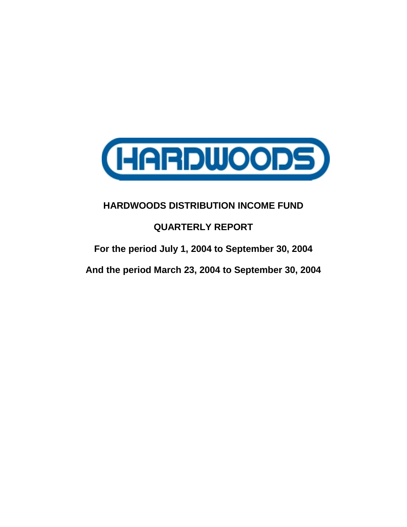

## **QUARTERLY REPORT**

**For the period July 1, 2004 to September 30, 2004**

**And the period March 23, 2004 to September 30, 2004**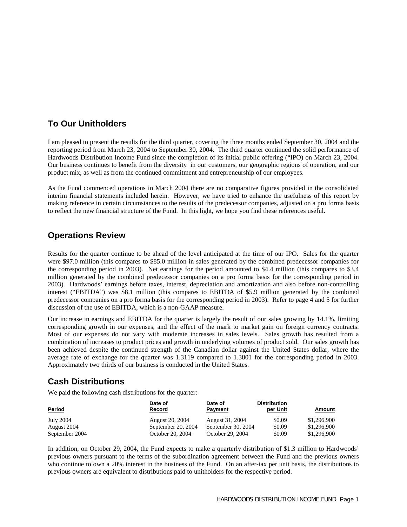## **To Our Unitholders**

I am pleased to present the results for the third quarter, covering the three months ended September 30, 2004 and the reporting period from March 23, 2004 to September 30, 2004. The third quarter continued the solid performance of Hardwoods Distribution Income Fund since the completion of its initial public offering ("IPO) on March 23, 2004. Our business continues to benefit from the diversity in our customers, our geographic regions of operation, and our product mix, as well as from the continued commitment and entrepreneurship of our employees.

As the Fund commenced operations in March 2004 there are no comparative figures provided in the consolidated interim financial statements included herein. However, we have tried to enhance the usefulness of this report by making reference in certain circumstances to the results of the predecessor companies, adjusted on a pro forma basis to reflect the new financial structure of the Fund. In this light, we hope you find these references useful.

## **Operations Review**

Results for the quarter continue to be ahead of the level anticipated at the time of our IPO. Sales for the quarter were \$97.0 million (this compares to \$85.0 million in sales generated by the combined predecessor companies for the corresponding period in 2003). Net earnings for the period amounted to \$4.4 million (this compares to \$3.4 million generated by the combined predecessor companies on a pro forma basis for the corresponding period in 2003). Hardwoods' earnings before taxes, interest, depreciation and amortization and also before non-controlling interest ("EBITDA") was \$8.1 million (this compares to EBITDA of \$5.9 million generated by the combined predecessor companies on a pro forma basis for the corresponding period in 2003). Refer to page 4 and 5 for further discussion of the use of EBITDA, which is a non-GAAP measure.

Our increase in earnings and EBITDA for the quarter is largely the result of our sales growing by 14.1%, limiting corresponding growth in our expenses, and the effect of the mark to market gain on foreign currency contracts. Most of our expenses do not vary with moderate increases in sales levels. Sales growth has resulted from a combination of increases to product prices and growth in underlying volumes of product sold. Our sales growth has been achieved despite the continued strength of the Canadian dollar against the United States dollar, where the average rate of exchange for the quarter was 1.3119 compared to 1.3801 for the corresponding period in 2003. Approximately two thirds of our business is conducted in the United States.

## **Cash Distributions**

We paid the following cash distributions for the quarter:

| <b>Period</b>  | Date of<br><b>Record</b> | Date of<br><b>Payment</b> | <b>Distribution</b><br>per Unit | Amount      |
|----------------|--------------------------|---------------------------|---------------------------------|-------------|
| July 2004      | August 20, 2004          | August 31, 2004           | \$0.09                          | \$1,296,900 |
| August 2004    | September 20, 2004       | September 30, 2004        | \$0.09                          | \$1,296,900 |
| September 2004 | October 20, 2004         | October 29, 2004          | \$0.09                          | \$1,296,900 |

In addition, on October 29, 2004, the Fund expects to make a quarterly distribution of \$1.3 million to Hardwoods' previous owners pursuant to the terms of the subordination agreement between the Fund and the previous owners who continue to own a 20% interest in the business of the Fund. On an after-tax per unit basis, the distributions to previous owners are equivalent to distributions paid to unitholders for the respective period.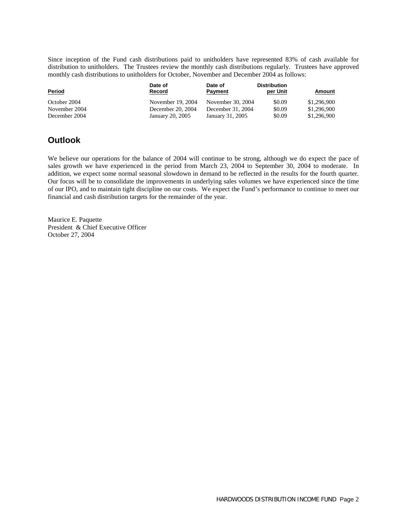Since inception of the Fund cash distributions paid to unitholders have represented 83% of cash available for distribution to unitholders. The Trustees review the monthly cash distributions regularly. Trustees have approved monthly cash distributions to unitholders for October, November and December 2004 as follows:

| <b>Period</b> | Date of<br><b>Record</b> | Date of<br><b>Payment</b> | <b>Distribution</b><br>per Unit | <u>Amount</u> |
|---------------|--------------------------|---------------------------|---------------------------------|---------------|
| October 2004  | November 19, 2004        | November 30, 2004         | \$0.09                          | \$1,296,900   |
| November 2004 | December 20, 2004        | December 31, 2004         | \$0.09                          | \$1,296,900   |
| December 2004 | January 20, 2005         | January 31, 2005          | \$0.09                          | \$1,296,900   |

## **Outlook**

We believe our operations for the balance of 2004 will continue to be strong, although we do expect the pace of sales growth we have experienced in the period from March 23, 2004 to September 30, 2004 to moderate. In addition, we expect some normal seasonal slowdown in demand to be reflected in the results for the fourth quarter. Our focus will be to consolidate the improvements in underlying sales volumes we have experienced since the time of our IPO, and to maintain tight discipline on our costs. We expect the Fund's performance to continue to meet our financial and cash distribution targets for the remainder of the year.

Maurice E. Paquette President & Chief Executive Officer October 27, 2004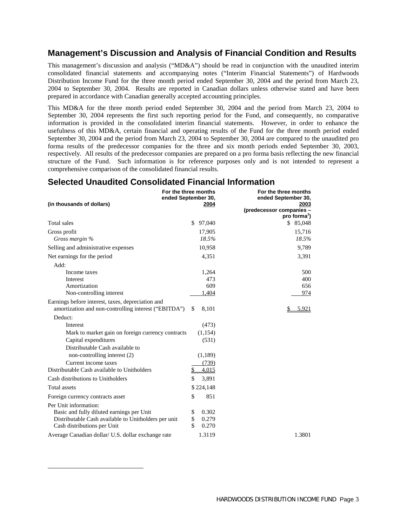## **Management's Discussion and Analysis of Financial Condition and Results**

This management's discussion and analysis ("MD&A") should be read in conjunction with the unaudited interim consolidated financial statements and accompanying notes ("Interim Financial Statements") of Hardwoods Distribution Income Fund for the three month period ended September 30, 2004 and the period from March 23, 2004 to September 30, 2004. Results are reported in Canadian dollars unless otherwise stated and have been prepared in accordance with Canadian generally accepted accounting principles.

This MD&A for the three month period ended September 30, 2004 and the period from March 23, 2004 to September 30, 2004 represents the first such reporting period for the Fund, and consequently, no comparative information is provided in the consolidated interim financial statements. However, in order to enhance the usefulness of this MD&A, certain financial and operating results of the Fund for the three month period ended September 30, 2004 and the period from March 23, 2004 to September 30, 2004 are compared to the unaudited pro forma results of the predecessor companies for the three and six month periods ended September 30, 2003, respectively. All results of the predecessor companies are prepared on a pro forma basis reflecting the new financial structure of the Fund. Such information is for reference purposes only and is not intended to represent a comprehensive comparison of the consolidated financial results.

## **Selected Unaudited Consolidated Financial Information**

| (in thousands of dollars)                                                                                                                                 | For the three months<br>ended September 30,<br>2004 | For the three months<br>ended September 30,<br>2003<br>(predecessor companies -<br>pro forma <sup>1</sup> ) |
|-----------------------------------------------------------------------------------------------------------------------------------------------------------|-----------------------------------------------------|-------------------------------------------------------------------------------------------------------------|
| <b>Total</b> sales                                                                                                                                        | \$<br>97,040                                        | \$85,048                                                                                                    |
| Gross profit<br>Gross margin %                                                                                                                            | 17,905<br>18.5%                                     | 15,716<br>18.5%                                                                                             |
| Selling and administrative expenses                                                                                                                       | 10,958                                              | 9,789                                                                                                       |
| Net earnings for the period                                                                                                                               | 4,351                                               | 3,391                                                                                                       |
| Add:<br>Income taxes<br>Interest                                                                                                                          | 1,264<br>473                                        | 500<br>400                                                                                                  |
| Amortization<br>Non-controlling interest                                                                                                                  | 609<br>1,404                                        | 656<br>974                                                                                                  |
| Earnings before interest, taxes, depreciation and<br>amortization and non-controlling interest ("EBITDA")                                                 | 8,101<br>\$                                         | 5.921                                                                                                       |
| Deduct:                                                                                                                                                   |                                                     |                                                                                                             |
| Interest                                                                                                                                                  | (473)                                               |                                                                                                             |
| Mark to market gain on foreign currency contracts                                                                                                         | (1, 154)                                            |                                                                                                             |
| Capital expenditures<br>Distributable Cash available to                                                                                                   | (531)                                               |                                                                                                             |
| non-controlling interest (2)                                                                                                                              | (1,189)                                             |                                                                                                             |
| Current income taxes                                                                                                                                      | (739)                                               |                                                                                                             |
| Distributable Cash available to Unitholders                                                                                                               | \$<br>4,015                                         |                                                                                                             |
| Cash distributions to Unitholders                                                                                                                         | \$<br>3,891                                         |                                                                                                             |
| <b>Total assets</b>                                                                                                                                       | \$224,148                                           |                                                                                                             |
| Foreign currency contracts asset                                                                                                                          | \$<br>851                                           |                                                                                                             |
| Per Unit information:<br>Basic and fully diluted earnings per Unit<br>Distributable Cash available to Unitholders per unit<br>Cash distributions per Unit | \$<br>0.302<br>\$<br>0.279<br>\$<br>0.270           |                                                                                                             |
| Average Canadian dollar/ U.S. dollar exchange rate                                                                                                        | 1.3119                                              | 1.3801                                                                                                      |

 $\overline{a}$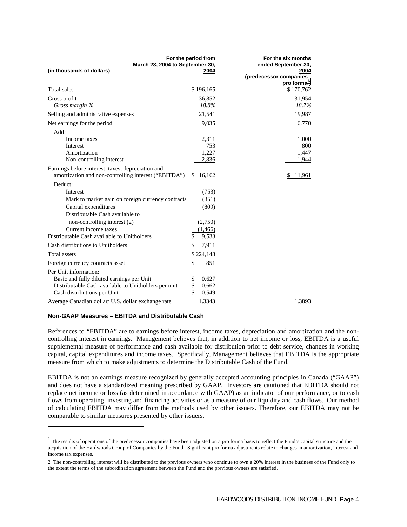| March 23, 2004 to September 30,                                                                                                                           | For the period from                 | For the six months<br>ended September 30,                    |
|-----------------------------------------------------------------------------------------------------------------------------------------------------------|-------------------------------------|--------------------------------------------------------------|
| (in thousands of dollars)                                                                                                                                 | 2004                                | 2004<br>(predecessor companies -<br>pro forma <sup>1</sup> ) |
| Total sales                                                                                                                                               | \$196,165                           | \$170,762                                                    |
| Gross profit<br>Gross margin %                                                                                                                            | 36,852<br>18.8%                     | 31,954<br>18.7%                                              |
| Selling and administrative expenses                                                                                                                       | 21,541                              | 19,987                                                       |
| Net earnings for the period                                                                                                                               | 9,035                               | 6,770                                                        |
| Add:<br>Income taxes<br>Interest<br>Amortization                                                                                                          | 2,311<br>753<br>1,227               | 1,000<br>800<br>1,447                                        |
| Non-controlling interest                                                                                                                                  | 2,836                               | 1,944                                                        |
| Earnings before interest, taxes, depreciation and<br>amortization and non-controlling interest ("EBITDA")                                                 | S<br>16,162                         | <u>11,961</u>                                                |
| Deduct:                                                                                                                                                   |                                     |                                                              |
| Interest                                                                                                                                                  | (753)                               |                                                              |
| Mark to market gain on foreign currency contracts                                                                                                         | (851)                               |                                                              |
| Capital expenditures<br>Distributable Cash available to                                                                                                   | (809)                               |                                                              |
| non-controlling interest (2)                                                                                                                              | (2,750)                             |                                                              |
| Current income taxes<br>Distributable Cash available to Unitholders                                                                                       | (1, 466)<br>\$<br>9,533             |                                                              |
| Cash distributions to Unitholders                                                                                                                         | \$<br>7,911                         |                                                              |
| Total assets                                                                                                                                              | \$224,148                           |                                                              |
| Foreign currency contracts asset                                                                                                                          | \$<br>851                           |                                                              |
| Per Unit information:<br>Basic and fully diluted earnings per Unit<br>Distributable Cash available to Unitholders per unit<br>Cash distributions per Unit | \$<br>0.627<br>\$<br>0.662<br>0.549 |                                                              |
| Average Canadian dollar/ U.S. dollar exchange rate                                                                                                        | 1.3343                              | 1.3893                                                       |

#### **Non-GAAP Measures – EBITDA and Distributable Cash**

 $\overline{a}$ 

References to "EBITDA" are to earnings before interest, income taxes, depreciation and amortization and the noncontrolling interest in earnings. Management believes that, in addition to net income or loss, EBITDA is a useful supplemental measure of performance and cash available for distribution prior to debt service, changes in working capital, capital expenditures and income taxes. Specifically, Management believes that EBITDA is the appropriate measure from which to make adjustments to determine the Distributable Cash of the Fund.

EBITDA is not an earnings measure recognized by generally accepted accounting principles in Canada ("GAAP") and does not have a standardized meaning prescribed by GAAP. Investors are cautioned that EBITDA should not replace net income or loss (as determined in accordance with GAAP) as an indicator of our performance, or to cash flows from operating, investing and financing activities or as a measure of our liquidity and cash flows. Our method of calculating EBITDA may differ from the methods used by other issuers. Therefore, our EBITDA may not be comparable to similar measures presented by other issuers.

 $<sup>1</sup>$  The results of operations of the predecessor companies have been adjusted on a pro forma basis to reflect the Fund's capital structure and the</sup> acquisition of the Hardwoods Group of Companies by the Fund. Significant pro forma adjustments relate to changes in amortization, interest and income tax expenses.

<sup>2</sup> The non-controlling interest will be distributed to the previous owners who continue to own a 20% interest in the business of the Fund only to the extent the terms of the subordination agreement between the Fund and the previous owners are satisfied.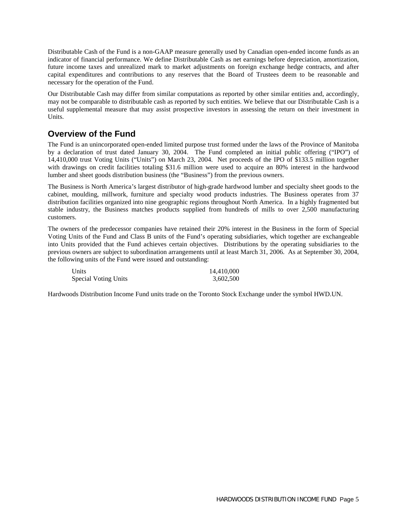Distributable Cash of the Fund is a non-GAAP measure generally used by Canadian open-ended income funds as an indicator of financial performance. We define Distributable Cash as net earnings before depreciation, amortization, future income taxes and unrealized mark to market adjustments on foreign exchange hedge contracts, and after capital expenditures and contributions to any reserves that the Board of Trustees deem to be reasonable and necessary for the operation of the Fund.

Our Distributable Cash may differ from similar computations as reported by other similar entities and, accordingly, may not be comparable to distributable cash as reported by such entities. We believe that our Distributable Cash is a useful supplemental measure that may assist prospective investors in assessing the return on their investment in Units.

## **Overview of the Fund**

The Fund is an unincorporated open-ended limited purpose trust formed under the laws of the Province of Manitoba by a declaration of trust dated January 30, 2004. The Fund completed an initial public offering ("IPO") of 14,410,000 trust Voting Units ("Units") on March 23, 2004. Net proceeds of the IPO of \$133.5 million together with drawings on credit facilities totaling \$31.6 million were used to acquire an 80% interest in the hardwood lumber and sheet goods distribution business (the "Business") from the previous owners.

The Business is North America's largest distributor of high-grade hardwood lumber and specialty sheet goods to the cabinet, moulding, millwork, furniture and specialty wood products industries. The Business operates from 37 distribution facilities organized into nine geographic regions throughout North America. In a highly fragmented but stable industry, the Business matches products supplied from hundreds of mills to over 2,500 manufacturing customers.

The owners of the predecessor companies have retained their 20% interest in the Business in the form of Special Voting Units of the Fund and Class B units of the Fund's operating subsidiaries, which together are exchangeable into Units provided that the Fund achieves certain objectives. Distributions by the operating subsidiaries to the previous owners are subject to subordination arrangements until at least March 31, 2006. As at September 30, 2004, the following units of the Fund were issued and outstanding:

| Units                | 14.410.000 |
|----------------------|------------|
| Special Voting Units | 3,602,500  |

Hardwoods Distribution Income Fund units trade on the Toronto Stock Exchange under the symbol HWD.UN.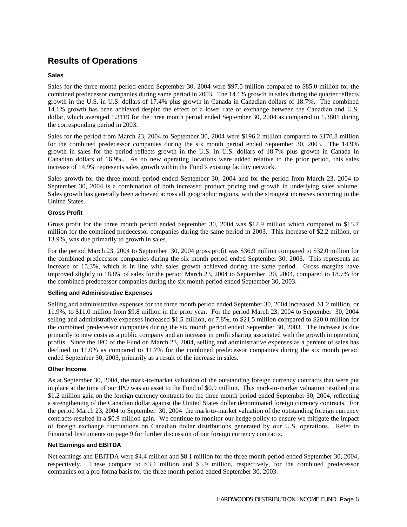## **Results of Operations**

## **Sales**

Sales for the three month period ended September 30, 2004 were \$97.0 million compared to \$85.0 million for the combined predecessor companies during same period in 2003. The 14.1% growth in sales during the quarter reflects growth in the U.S. in U.S. dollars of 17.4% plus growth in Canada in Canadian dollars of 18.7%. The combined 14.1% growth has been achieved despite the effect of a lower rate of exchange between the Canadian and U.S. dollar, which averaged 1.3119 for the three month period ended September 30, 2004 as compared to 1.3801 during the corresponding period in 2003.

Sales for the period from March 23, 2004 to September 30, 2004 were \$196.2 million compared to \$170.8 million for the combined predecessor companies during the six month period ended September 30, 2003. The 14.9% growth in sales for the period reflects growth in the U.S. in U.S. dollars of 18.7% plus growth in Canada in Canadian dollars of 16.9%. As no new operating locations were added relative to the prior period, this sales increase of 14.9% represents sales growth within the Fund's existing facility network.

Sales growth for the three month period ended September 30, 2004 and for the period from March 23, 2004 to September 30, 2004 is a combination of both increased product pricing and growth in underlying sales volume. Sales growth has generally been achieved across all geographic regions, with the strongest increases occurring in the United States.

## **Gross Profit**

Gross profit for the three month period ended September 30, 2004 was \$17.9 million which compared to \$15.7 million for the combined predecessor companies during the same period in 2003. This increase of \$2.2 million, or 13.9%¸ was due primarily to growth in sales.

For the period March 23, 2004 to September 30, 2004 gross profit was \$36.9 million compared to \$32.0 million for the combined predecessor companies during the six month period ended September 30, 2003. This represents an increase of 15.3%, which is in line with sales growth achieved during the same period. Gross margins have improved slightly to 18.8% of sales for the period March 23, 2004 to September 30, 2004, compared to 18.7% for the combined predecessor companies during the six month period ended September 30, 2003.

## **Selling and Administrative Expenses**

Selling and administrative expenses for the three month period ended September 30, 2004 increased \$1.2 million, or 11.9%, to \$11.0 million from \$9.8 million in the prior year. For the period March 23, 2004 to September 30, 2004 selling and administrative expenses increased \$1.5 million, or 7.8%, to \$21.5 million compared to \$20.0 million for the combined predecessor companies during the six month period ended September 30, 2003. The increase is due primarily to new costs as a public company and an increase in profit sharing associated with the growth in operating profits. Since the IPO of the Fund on March 23, 2004, selling and administrative expenses as a percent of sales has declined to 11.0% as compared to 11.7% for the combined predecessor companies during the six month period ended September 30, 2003, primarily as a result of the increase in sales.

### **Other Income**

As at September 30, 2004, the mark-to-market valuation of the outstanding foreign currency contracts that were put in place at the time of our IPO was an asset to the Fund of \$0.9 million. This mark-to-market valuation resulted in a \$1.2 million gain on the foreign currency contracts for the three month period ended September 30, 2004, reflecting a strengthening of the Canadian dollar against the United States dollar denominated foreign currency contracts. For the period March 23, 2004 to September 30, 2004 the mark-to-market valuation of the outstanding foreign currency contracts resulted in a \$0.9 million gain. We continue to monitor our hedge policy to ensure we mitigate the impact of foreign exchange fluctuations on Canadian dollar distributions generated by our U.S. operations. Refer to Financial Instruments on page 9 for further discussion of our foreign currency contracts.

#### **Net Earnings and EBITDA**

Net earnings and EBITDA were \$4.4 million and \$8.1 million for the three month period ended September 30, 2004, respectively. These compare to \$3.4 million and \$5.9 million, respectively, for the combined predecessor companies on a pro forma basis for the three month period ended September 30, 2003.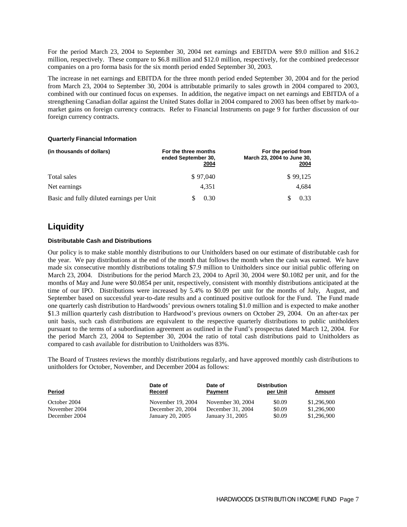For the period March 23, 2004 to September 30, 2004 net earnings and EBITDA were \$9.0 million and \$16.2 million, respectively. These compare to \$6.8 million and \$12.0 million, respectively, for the combined predecessor companies on a pro forma basis for the six month period ended September 30, 2003.

The increase in net earnings and EBITDA for the three month period ended September 30, 2004 and for the period from March 23, 2004 to September 30, 2004 is attributable primarily to sales growth in 2004 compared to 2003, combined with our continued focus on expenses. In addition, the negative impact on net earnings and EBITDA of a strengthening Canadian dollar against the United States dollar in 2004 compared to 2003 has been offset by mark-tomarket gains on foreign currency contracts. Refer to Financial Instruments on page 9 for further discussion of our foreign currency contracts.

#### **Quarterly Financial Information**

| (in thousands of dollars)                 | For the three months<br>ended September 30,<br>2004 | For the period from<br>March 23, 2004 to June 30,<br><u> 2004 </u> |
|-------------------------------------------|-----------------------------------------------------|--------------------------------------------------------------------|
| Total sales                               | \$97,040                                            | \$99.125                                                           |
| Net earnings                              | 4.351                                               | 4.684                                                              |
| Basic and fully diluted earnings per Unit | 0.30                                                | 0.33                                                               |

## **Liquidity**

## **Distributable Cash and Distributions**

Our policy is to make stable monthly distributions to our Unitholders based on our estimate of distributable cash for the year. We pay distributions at the end of the month that follows the month when the cash was earned. We have made six consecutive monthly distributions totaling \$7.9 million to Unitholders since our initial public offering on March 23, 2004. Distributions for the period March 23, 2004 to April 30, 2004 were \$0.1082 per unit, and for the months of May and June were \$0.0854 per unit, respectively, consistent with monthly distributions anticipated at the time of our IPO. Distributions were increased by 5.4% to \$0.09 per unit for the months of July, August, and September based on successful year-to-date results and a continued positive outlook for the Fund. The Fund made one quarterly cash distribution to Hardwoods' previous owners totaling \$1.0 million and is expected to make another \$1.3 million quarterly cash distribution to Hardwood's previous owners on October 29, 2004. On an after-tax per unit basis, such cash distributions are equivalent to the respective quarterly distributions to public unitholders pursuant to the terms of a subordination agreement as outlined in the Fund's prospectus dated March 12, 2004. For the period March 23, 2004 to September 30, 2004 the ratio of total cash distributions paid to Unitholders as compared to cash available for distribution to Unitholders was 83%.

The Board of Trustees reviews the monthly distributions regularly, and have approved monthly cash distributions to unitholders for October, November, and December 2004 as follows:

| <b>Period</b> | Date of<br>Record | Date of<br>Payment | <b>Distribution</b><br>per Unit | Amount      |
|---------------|-------------------|--------------------|---------------------------------|-------------|
| October 2004  | November 19, 2004 | November 30, 2004  | \$0.09                          | \$1,296,900 |
| November 2004 | December 20, 2004 | December 31, 2004  | \$0.09                          | \$1,296,900 |
| December 2004 | January 20, 2005  | January 31, 2005   | \$0.09                          | \$1,296,900 |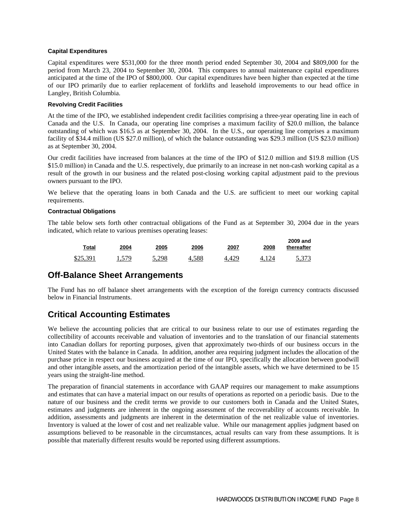## **Capital Expenditures**

Capital expenditures were \$531,000 for the three month period ended September 30, 2004 and \$809,000 for the period from March 23, 2004 to September 30, 2004. This compares to annual maintenance capital expenditures anticipated at the time of the IPO of \$800,000. Our capital expenditures have been higher than expected at the time of our IPO primarily due to earlier replacement of forklifts and leasehold improvements to our head office in Langley, British Columbia.

### **Revolving Credit Facilities**

At the time of the IPO, we established independent credit facilities comprising a three-year operating line in each of Canada and the U.S. In Canada, our operating line comprises a maximum facility of \$20.0 million, the balance outstanding of which was \$16.5 as at September 30, 2004. In the U.S., our operating line comprises a maximum facility of \$34.4 million (US \$27.0 million), of which the balance outstanding was \$29.3 million (US \$23.0 million) as at September 30, 2004.

Our credit facilities have increased from balances at the time of the IPO of \$12.0 million and \$19.8 million (US \$15.0 million) in Canada and the U.S. respectively, due primarily to an increase in net non-cash working capital as a result of the growth in our business and the related post-closing working capital adjustment paid to the previous owners pursuant to the IPO.

We believe that the operating loans in both Canada and the U.S. are sufficient to meet our working capital requirements.

#### **Contractual Obligations**

The table below sets forth other contractual obligations of the Fund as at September 30, 2004 due in the years indicated, which relate to various premises operating leases:

| 2009 and<br>thereafter | 2008 | 2007 | 2006  | 2005  | 2004 | Total    |
|------------------------|------|------|-------|-------|------|----------|
| 5,373                  |      |      | 4.588 | 5.298 | 579  | \$25,391 |

## **Off-Balance Sheet Arrangements**

The Fund has no off balance sheet arrangements with the exception of the foreign currency contracts discussed below in Financial Instruments.

## **Critical Accounting Estimates**

We believe the accounting policies that are critical to our business relate to our use of estimates regarding the collectibility of accounts receivable and valuation of inventories and to the translation of our financial statements into Canadian dollars for reporting purposes, given that approximately two-thirds of our business occurs in the United States with the balance in Canada. In addition, another area requiring judgment includes the allocation of the purchase price in respect our business acquired at the time of our IPO, specifically the allocation between goodwill and other intangible assets, and the amortization period of the intangible assets, which we have determined to be 15 years using the straight-line method.

The preparation of financial statements in accordance with GAAP requires our management to make assumptions and estimates that can have a material impact on our results of operations as reported on a periodic basis. Due to the nature of our business and the credit terms we provide to our customers both in Canada and the United States, estimates and judgments are inherent in the ongoing assessment of the recoverability of accounts receivable. In addition, assessments and judgments are inherent in the determination of the net realizable value of inventories. Inventory is valued at the lower of cost and net realizable value. While our management applies judgment based on assumptions believed to be reasonable in the circumstances, actual results can vary from these assumptions. It is possible that materially different results would be reported using different assumptions.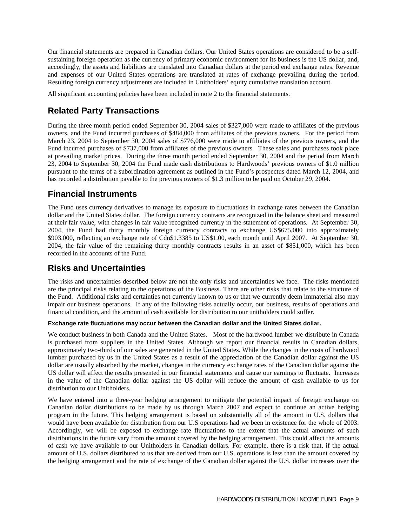Our financial statements are prepared in Canadian dollars. Our United States operations are considered to be a selfsustaining foreign operation as the currency of primary economic environment for its business is the US dollar, and, accordingly, the assets and liabilities are translated into Canadian dollars at the period end exchange rates. Revenue and expenses of our United States operations are translated at rates of exchange prevailing during the period. Resulting foreign currency adjustments are included in Unitholders' equity cumulative translation account.

All significant accounting policies have been included in note 2 to the financial statements.

## **Related Party Transactions**

During the three month period ended September 30, 2004 sales of \$327,000 were made to affiliates of the previous owners, and the Fund incurred purchases of \$484,000 from affiliates of the previous owners. For the period from March 23, 2004 to September 30, 2004 sales of \$776,000 were made to affiliates of the previous owners, and the Fund incurred purchases of \$737,000 from affiliates of the previous owners. These sales and purchases took place at prevailing market prices. During the three month period ended September 30, 2004 and the period from March 23, 2004 to September 30, 2004 the Fund made cash distributions to Hardwoods' previous owners of \$1.0 million pursuant to the terms of a subordination agreement as outlined in the Fund's prospectus dated March 12, 2004, and has recorded a distribution payable to the previous owners of \$1.3 million to be paid on October 29, 2004.

## **Financial Instruments**

The Fund uses currency derivatives to manage its exposure to fluctuations in exchange rates between the Canadian dollar and the United States dollar. The foreign currency contracts are recognized in the balance sheet and measured at their fair value, with changes in fair value recognized currently in the statement of operations. At September 30, 2004, the Fund had thirty monthly foreign currency contracts to exchange US\$675,000 into approximately \$903,000, reflecting an exchange rate of Cdn\$1.3385 to US\$1.00, each month until April 2007. At September 30, 2004, the fair value of the remaining thirty monthly contracts results in an asset of \$851,000, which has been recorded in the accounts of the Fund.

## **Risks and Uncertainties**

The risks and uncertainties described below are not the only risks and uncertainties we face. The risks mentioned are the principal risks relating to the operations of the Business. There are other risks that relate to the structure of the Fund. Additional risks and certainties not currently known to us or that we currently deem immaterial also may impair our business operations. If any of the following risks actually occur, our business, results of operations and financial condition, and the amount of cash available for distribution to our unitholders could suffer.

## **Exchange rate fluctuations may occur between the Canadian dollar and the United States dollar.**

We conduct business in both Canada and the United States. Most of the hardwood lumber we distribute in Canada is purchased from suppliers in the United States. Although we report our financial results in Canadian dollars, approximately two-thirds of our sales are generated in the United States. While the changes in the costs of hardwood lumber purchased by us in the United States as a result of the appreciation of the Canadian dollar against the US dollar are usually absorbed by the market, changes in the currency exchange rates of the Canadian dollar against the US dollar will affect the results presented in our financial statements and cause our earnings to fluctuate. Increases in the value of the Canadian dollar against the US dollar will reduce the amount of cash available to us for distribution to our Unitholders.

We have entered into a three-year hedging arrangement to mitigate the potential impact of foreign exchange on Canadian dollar distributions to be made by us through March 2007 and expect to continue an active hedging program in the future. This hedging arrangement is based on substantially all of the amount in U.S. dollars that would have been available for distribution from our U.S operations had we been in existence for the whole of 2003. Accordingly, we will be exposed to exchange rate fluctuations to the extent that the actual amounts of such distributions in the future vary from the amount covered by the hedging arrangement. This could affect the amounts of cash we have available to our Unitholders in Canadian dollars. For example, there is a risk that, if the actual amount of U.S. dollars distributed to us that are derived from our U.S. operations is less than the amount covered by the hedging arrangement and the rate of exchange of the Canadian dollar against the U.S. dollar increases over the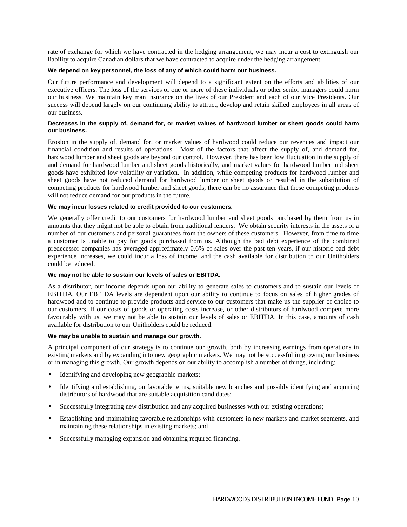rate of exchange for which we have contracted in the hedging arrangement, we may incur a cost to extinguish our liability to acquire Canadian dollars that we have contracted to acquire under the hedging arrangement.

#### **We depend on key personnel, the loss of any of which could harm our business.**

Our future performance and development will depend to a significant extent on the efforts and abilities of our executive officers. The loss of the services of one or more of these individuals or other senior managers could harm our business. We maintain key man insurance on the lives of our President and each of our Vice Presidents. Our success will depend largely on our continuing ability to attract, develop and retain skilled employees in all areas of our business.

### **Decreases in the supply of, demand for, or market values of hardwood lumber or sheet goods could harm our business.**

Erosion in the supply of, demand for, or market values of hardwood could reduce our revenues and impact our financial condition and results of operations. Most of the factors that affect the supply of, and demand for, hardwood lumber and sheet goods are beyond our control. However, there has been low fluctuation in the supply of and demand for hardwood lumber and sheet goods historically, and market values for hardwood lumber and sheet goods have exhibited low volatility or variation. In addition, while competing products for hardwood lumber and sheet goods have not reduced demand for hardwood lumber or sheet goods or resulted in the substitution of competing products for hardwood lumber and sheet goods, there can be no assurance that these competing products will not reduce demand for our products in the future.

#### **We may incur losses related to credit provided to our customers.**

We generally offer credit to our customers for hardwood lumber and sheet goods purchased by them from us in amounts that they might not be able to obtain from traditional lenders. We obtain security interests in the assets of a number of our customers and personal guarantees from the owners of these customers. However, from time to time a customer is unable to pay for goods purchased from us. Although the bad debt experience of the combined predecessor companies has averaged approximately 0.6% of sales over the past ten years, if our historic bad debt experience increases, we could incur a loss of income, and the cash available for distribution to our Unitholders could be reduced.

#### **We may not be able to sustain our levels of sales or EBITDA.**

As a distributor, our income depends upon our ability to generate sales to customers and to sustain our levels of EBITDA. Our EBITDA levels are dependent upon our ability to continue to focus on sales of higher grades of hardwood and to continue to provide products and service to our customers that make us the supplier of choice to our customers. If our costs of goods or operating costs increase, or other distributors of hardwood compete more favourably with us, we may not be able to sustain our levels of sales or EBITDA. In this case, amounts of cash available for distribution to our Unitholders could be reduced.

#### **We may be unable to sustain and manage our growth.**

A principal component of our strategy is to continue our growth, both by increasing earnings from operations in existing markets and by expanding into new geographic markets. We may not be successful in growing our business or in managing this growth. Our growth depends on our ability to accomplish a number of things, including:

- Identifying and developing new geographic markets;
- Identifying and establishing, on favorable terms, suitable new branches and possibly identifying and acquiring distributors of hardwood that are suitable acquisition candidates;
- Successfully integrating new distribution and any acquired businesses with our existing operations;
- Establishing and maintaining favorable relationships with customers in new markets and market segments, and maintaining these relationships in existing markets; and
- Successfully managing expansion and obtaining required financing.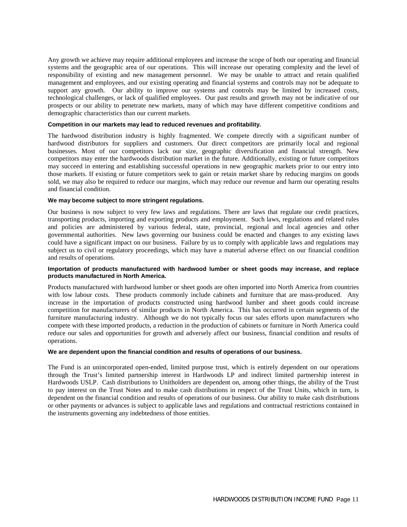Any growth we achieve may require additional employees and increase the scope of both our operating and financial systems and the geographic area of our operations. This will increase our operating complexity and the level of responsibility of existing and new management personnel. We may be unable to attract and retain qualified management and employees, and our existing operating and financial systems and controls may not be adequate to support any growth. Our ability to improve our systems and controls may be limited by increased costs, technological challenges, or lack of qualified employees. Our past results and growth may not be indicative of our prospects or our ability to penetrate new markets, many of which may have different competitive conditions and demographic characteristics than our current markets.

#### **Competition in our markets may lead to reduced revenues and profitability.**

The hardwood distribution industry is highly fragmented. We compete directly with a significant number of hardwood distributors for suppliers and customers. Our direct competitors are primarily local and regional businesses. Most of our competitors lack our size, geographic diversification and financial strength. New competitors may enter the hardwoods distribution market in the future. Additionally, existing or future competitors may succeed in entering and establishing successful operations in new geographic markets prior to our entry into those markets. If existing or future competitors seek to gain or retain market share by reducing margins on goods sold, we may also be required to reduce our margins, which may reduce our revenue and harm our operating results and financial condition.

#### **We may become subject to more stringent regulations.**

Our business is now subject to very few laws and regulations. There are laws that regulate our credit practices, transporting products, importing and exporting products and employment. Such laws, regulations and related rules and policies are administered by various federal, state, provincial, regional and local agencies and other governmental authorities. New laws governing our business could be enacted and changes to any existing laws could have a significant impact on our business. Failure by us to comply with applicable laws and regulations may subject us to civil or regulatory proceedings, which may have a material adverse effect on our financial condition and results of operations.

### **Importation of products manufactured with hardwood lumber or sheet goods may increase, and replace products manufactured in North America.**

Products manufactured with hardwood lumber or sheet goods are often imported into North America from countries with low labour costs. These products commonly include cabinets and furniture that are mass-produced. Any increase in the importation of products constructed using hardwood lumber and sheet goods could increase competition for manufacturers of similar products in North America. This has occurred in certain segments of the furniture manufacturing industry. Although we do not typically focus our sales efforts upon manufacturers who compete with these imported products, a reduction in the production of cabinets or furniture in North America could reduce our sales and opportunities for growth and adversely affect our business, financial condition and results of operations.

## **We are dependent upon the financial condition and results of operations of our business.**

The Fund is an unincorporated open-ended, limited purpose trust, which is entirely dependent on our operations through the Trust's limited partnership interest in Hardwoods LP and indirect limited partnership interest in Hardwoods USLP. Cash distributions to Unitholders are dependent on, among other things, the ability of the Trust to pay interest on the Trust Notes and to make cash distributions in respect of the Trust Units, which in turn, is dependent on the financial condition and results of operations of our business. Our ability to make cash distributions or other payments or advances is subject to applicable laws and regulations and contractual restrictions contained in the instruments governing any indebtedness of those entities.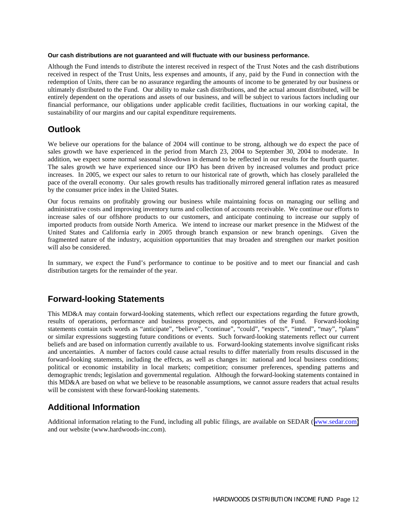### **Our cash distributions are not guaranteed and will fluctuate with our business performance.**

Although the Fund intends to distribute the interest received in respect of the Trust Notes and the cash distributions received in respect of the Trust Units, less expenses and amounts, if any, paid by the Fund in connection with the redemption of Units, there can be no assurance regarding the amounts of income to be generated by our business or ultimately distributed to the Fund. Our ability to make cash distributions, and the actual amount distributed, will be entirely dependent on the operations and assets of our business, and will be subject to various factors including our financial performance, our obligations under applicable credit facilities, fluctuations in our working capital, the sustainability of our margins and our capital expenditure requirements.

## **Outlook**

We believe our operations for the balance of 2004 will continue to be strong, although we do expect the pace of sales growth we have experienced in the period from March 23, 2004 to September 30, 2004 to moderate. In addition, we expect some normal seasonal slowdown in demand to be reflected in our results for the fourth quarter. The sales growth we have experienced since our IPO has been driven by increased volumes and product price increases. In 2005, we expect our sales to return to our historical rate of growth, which has closely paralleled the pace of the overall economy. Our sales growth results has traditionally mirrored general inflation rates as measured by the consumer price index in the United States.

Our focus remains on profitably growing our business while maintaining focus on managing our selling and administrative costs and improving inventory turns and collection of accounts receivable. We continue our efforts to increase sales of our offshore products to our customers, and anticipate continuing to increase our supply of imported products from outside North America. We intend to increase our market presence in the Midwest of the United States and California early in 2005 through branch expansion or new branch openings. Given the fragmented nature of the industry, acquisition opportunities that may broaden and strengthen our market position will also be considered.

In summary, we expect the Fund's performance to continue to be positive and to meet our financial and cash distribution targets for the remainder of the year.

## **Forward-looking Statements**

This MD&A may contain forward-looking statements, which reflect our expectations regarding the future growth, results of operations, performance and business prospects, and opportunities of the Fund. Forward-looking statements contain such words as "anticipate", "believe", "continue", "could", "expects", "intend", "may", "plans" or similar expressions suggesting future conditions or events. Such forward-looking statements reflect our current beliefs and are based on information currently available to us. Forward-looking statements involve significant risks and uncertainties. A number of factors could cause actual results to differ materially from results discussed in the forward-looking statements, including the effects, as well as changes in: national and local business conditions; political or economic instability in local markets; competition; consumer preferences, spending patterns and demographic trends; legislation and governmental regulation. Although the forward-looking statements contained in this MD&A are based on what we believe to be reasonable assumptions, we cannot assure readers that actual results will be consistent with these forward-looking statements.

## **Additional Information**

Additional information relating to the Fund, including all public filings, are available on SEDAR ([www.sedar.com\)](http://www.sedar.com/) and our website (www.hardwoods-inc.com).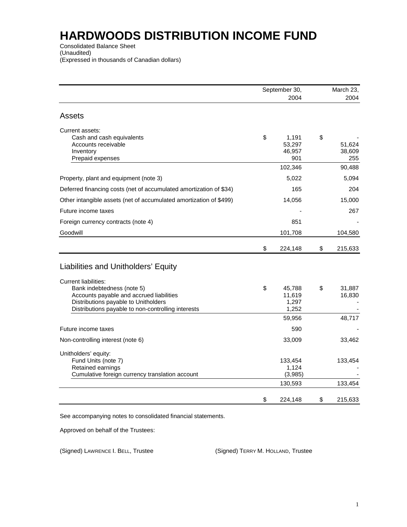Consolidated Balance Sheet (Unaudited) (Expressed in thousands of Canadian dollars)

|                                                                                                                                                                                                     | September 30, |                                        | March 23,                     |
|-----------------------------------------------------------------------------------------------------------------------------------------------------------------------------------------------------|---------------|----------------------------------------|-------------------------------|
|                                                                                                                                                                                                     |               | 2004                                   | 2004                          |
| <b>Assets</b>                                                                                                                                                                                       |               |                                        |                               |
| Current assets:<br>Cash and cash equivalents<br>Accounts receivable<br>Inventory<br>Prepaid expenses                                                                                                | \$            | 1,191<br>53,297<br>46,957<br>901       | \$<br>51,624<br>38,609<br>255 |
|                                                                                                                                                                                                     |               | 102,346                                | 90,488                        |
| Property, plant and equipment (note 3)                                                                                                                                                              |               | 5,022                                  | 5,094                         |
| Deferred financing costs (net of accumulated amortization of \$34)                                                                                                                                  |               | 165                                    | 204                           |
| Other intangible assets (net of accumulated amortization of \$499)                                                                                                                                  |               | 14,056                                 | 15,000                        |
| Future income taxes                                                                                                                                                                                 |               |                                        | 267                           |
| Foreign currency contracts (note 4)                                                                                                                                                                 |               | 851                                    |                               |
| Goodwill                                                                                                                                                                                            |               | 101,708                                | 104,580                       |
|                                                                                                                                                                                                     | \$            | 224,148                                | \$<br>215,633                 |
| Liabilities and Unitholders' Equity                                                                                                                                                                 |               |                                        |                               |
| <b>Current liabilities:</b><br>Bank indebtedness (note 5)<br>Accounts payable and accrued liabilities<br>Distributions payable to Unitholders<br>Distributions payable to non-controlling interests | \$            | 45,788<br>11,619<br>1,297<br>1,252     | \$<br>31,887<br>16,830        |
|                                                                                                                                                                                                     |               | 59,956                                 | 48,717                        |
| Future income taxes                                                                                                                                                                                 |               | 590                                    |                               |
| Non-controlling interest (note 6)                                                                                                                                                                   |               | 33,009                                 | 33,462                        |
| Unitholders' equity:<br>Fund Units (note 7)<br>Retained earnings<br>Cumulative foreign currency translation account                                                                                 |               | 133,454<br>1,124<br>(3,985)<br>130,593 | 133,454<br>133,454            |
|                                                                                                                                                                                                     |               |                                        |                               |
|                                                                                                                                                                                                     | \$            | 224,148                                | \$<br>215,633                 |

See accompanying notes to consolidated financial statements.

Approved on behalf of the Trustees:

(Signed) LAWRENCE I. BELL, Trustee (Signed) TERRY M. HOLLAND, Trustee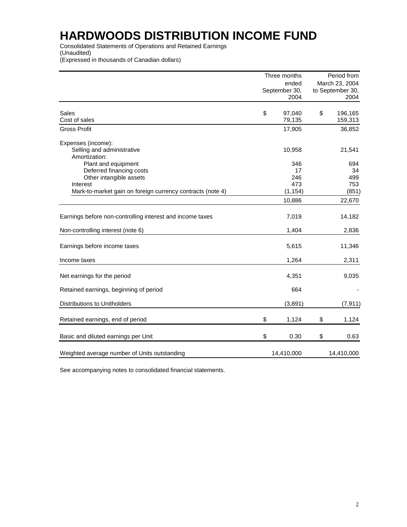Consolidated Statements of Operations and Retained Earnings (Unaudited)

(Expressed in thousands of Canadian dollars)

|                                                            |                        | Three months | Period from                        |            |
|------------------------------------------------------------|------------------------|--------------|------------------------------------|------------|
|                                                            | ended<br>September 30, |              | March 23, 2004<br>to September 30, |            |
|                                                            |                        | 2004         |                                    | 2004       |
| Sales                                                      | \$                     | 97,040       | \$                                 | 196,165    |
| Cost of sales                                              |                        | 79,135       |                                    | 159,313    |
| <b>Gross Profit</b>                                        |                        | 17,905       |                                    | 36,852     |
| Expenses (income):                                         |                        |              |                                    |            |
| Selling and administrative                                 |                        | 10,958       |                                    | 21,541     |
| Amortization:                                              |                        |              |                                    |            |
| Plant and equipment                                        |                        | 346          |                                    | 694        |
| Deferred financing costs<br>Other intangible assets        |                        | 17<br>246    |                                    | 34<br>499  |
| Interest                                                   |                        | 473          |                                    | 753        |
| Mark-to-market gain on foreign currency contracts (note 4) |                        | (1, 154)     |                                    | (851)      |
|                                                            |                        | 10,886       |                                    | 22,670     |
| Earnings before non-controlling interest and income taxes  |                        | 7,019        |                                    | 14,182     |
| Non-controlling interest (note 6)                          |                        | 1,404        |                                    | 2,836      |
| Earnings before income taxes                               |                        | 5,615        |                                    | 11,346     |
| Income taxes                                               |                        | 1,264        |                                    | 2,311      |
| Net earnings for the period                                |                        | 4,351        |                                    | 9,035      |
| Retained earnings, beginning of period                     |                        | 664          |                                    |            |
| Distributions to Unitholders                               |                        | (3,891)      |                                    | (7, 911)   |
| Retained earnings, end of period                           | \$                     | 1,124        | \$                                 | 1,124      |
|                                                            |                        |              |                                    |            |
| Basic and diluted earnings per Unit                        | \$                     | 0.30         | \$                                 | 0.63       |
| Weighted average number of Units outstanding               |                        | 14,410,000   |                                    | 14,410,000 |

See accompanying notes to consolidated financial statements.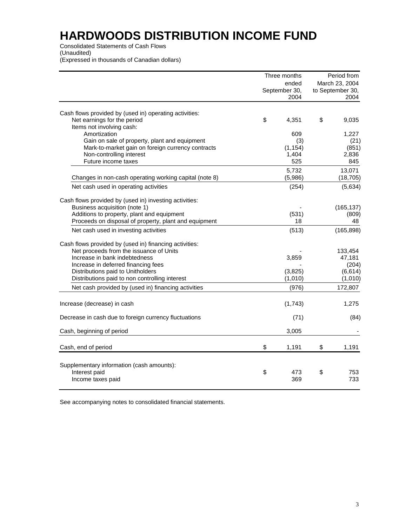Consolidated Statements of Cash Flows

(Unaudited)

(Expressed in thousands of Canadian dollars)

|                                                                                                                    | Three months                   |                                            | Period from         |
|--------------------------------------------------------------------------------------------------------------------|--------------------------------|--------------------------------------------|---------------------|
|                                                                                                                    | ended<br>September 30,<br>2004 | March 23, 2004<br>to September 30,<br>2004 |                     |
| Cash flows provided by (used in) operating activities:<br>Net earnings for the period<br>Items not involving cash: | \$<br>4,351                    | \$                                         | 9,035               |
| Amortization                                                                                                       | 609                            |                                            | 1,227               |
| Gain on sale of property, plant and equipment                                                                      | (3)                            |                                            | (21)                |
| Mark-to-market gain on foreign currency contracts                                                                  | (1, 154)                       |                                            | (851)               |
| Non-controlling interest<br>Future income taxes                                                                    | 1,404                          |                                            | 2,836               |
|                                                                                                                    | 525                            |                                            | 845                 |
| Changes in non-cash operating working capital (note 8)                                                             | 5,732<br>(5,986)               |                                            | 13,071<br>(18, 705) |
| Net cash used in operating activities                                                                              | (254)                          |                                            | (5,634)             |
|                                                                                                                    |                                |                                            |                     |
| Cash flows provided by (used in) investing activities:<br>Business acquisition (note 1)                            |                                |                                            | (165, 137)          |
| Additions to property, plant and equipment                                                                         | (531)                          |                                            | (809)               |
| Proceeds on disposal of property, plant and equipment                                                              | 18                             |                                            | 48                  |
| Net cash used in investing activities                                                                              | (513)                          |                                            | (165, 898)          |
| Cash flows provided by (used in) financing activities:                                                             |                                |                                            |                     |
| Net proceeds from the issuance of Units<br>Increase in bank indebtedness                                           | 3,859                          |                                            | 133,454<br>47,181   |
| Increase in deferred financing fees                                                                                |                                |                                            | (204)               |
| Distributions paid to Unitholders                                                                                  | (3,825)                        |                                            | (6, 614)            |
| Distributions paid to non controlling interest                                                                     | (1,010)                        |                                            | (1,010)             |
| Net cash provided by (used in) financing activities                                                                | (976)                          |                                            | 172,807             |
| Increase (decrease) in cash                                                                                        | (1,743)                        |                                            | 1,275               |
| Decrease in cash due to foreign currency fluctuations                                                              | (71)                           |                                            | (84)                |
| Cash, beginning of period                                                                                          | 3,005                          |                                            |                     |
| Cash, end of period                                                                                                | \$<br>1,191                    | \$                                         | 1,191               |
|                                                                                                                    |                                |                                            |                     |
| Supplementary information (cash amounts):                                                                          |                                |                                            |                     |
| Interest paid<br>Income taxes paid                                                                                 | \$<br>473<br>369               | \$                                         | 753<br>733          |
|                                                                                                                    |                                |                                            |                     |

See accompanying notes to consolidated financial statements.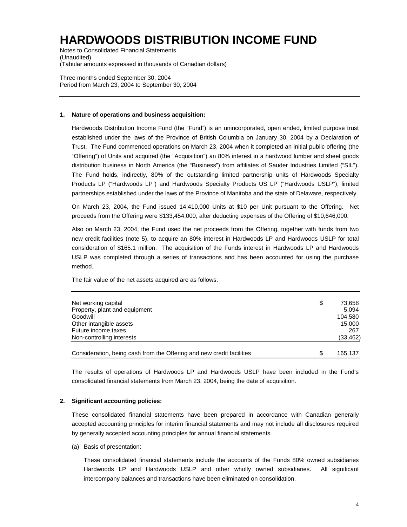Notes to Consolidated Financial Statements (Unaudited) (Tabular amounts expressed in thousands of Canadian dollars)

Three months ended September 30, 2004 Period from March 23, 2004 to September 30, 2004

#### **1. Nature of operations and business acquisition:**

Hardwoods Distribution Income Fund (the "Fund") is an unincorporated, open ended, limited purpose trust established under the laws of the Province of British Columbia on January 30, 2004 by a Declaration of Trust. The Fund commenced operations on March 23, 2004 when it completed an initial public offering (the "Offering") of Units and acquired (the "Acquisition") an 80% interest in a hardwood lumber and sheet goods distribution business in North America (the "Business") from affiliates of Sauder Industries Limited ("SIL"). The Fund holds, indirectly, 80% of the outstanding limited partnership units of Hardwoods Specialty Products LP ("Hardwoods LP") and Hardwoods Specialty Products US LP ("Hardwoods USLP"), limited partnerships established under the laws of the Province of Manitoba and the state of Delaware, respectively.

On March 23, 2004, the Fund issued 14,410,000 Units at \$10 per Unit pursuant to the Offering. Net proceeds from the Offering were \$133,454,000, after deducting expenses of the Offering of \$10,646,000.

Also on March 23, 2004, the Fund used the net proceeds from the Offering, together with funds from two new credit facilities (note 5), to acquire an 80% interest in Hardwoods LP and Hardwoods USLP for total consideration of \$165.1 million. The acquisition of the Funds interest in Hardwoods LP and Hardwoods USLP was completed through a series of transactions and has been accounted for using the purchase method.

The fair value of the net assets acquired are as follows:

| Net working capital                                                   | \$<br>73.658 |
|-----------------------------------------------------------------------|--------------|
| Property, plant and equipment                                         | 5.094        |
| Goodwill                                                              | 104.580      |
| Other intangible assets                                               | 15.000       |
| Future income taxes                                                   | 267          |
| Non-controlling interests                                             | (33, 462)    |
| Consideration, being cash from the Offering and new credit facilities | 165.137      |

The results of operations of Hardwoods LP and Hardwoods USLP have been included in the Fund's consolidated financial statements from March 23, 2004, being the date of acquisition.

#### **2. Significant accounting policies:**

These consolidated financial statements have been prepared in accordance with Canadian generally accepted accounting principles for interim financial statements and may not include all disclosures required by generally accepted accounting principles for annual financial statements.

(a) Basis of presentation:

These consolidated financial statements include the accounts of the Funds 80% owned subsidiaries Hardwoods LP and Hardwoods USLP and other wholly owned subsidiaries. All significant intercompany balances and transactions have been eliminated on consolidation.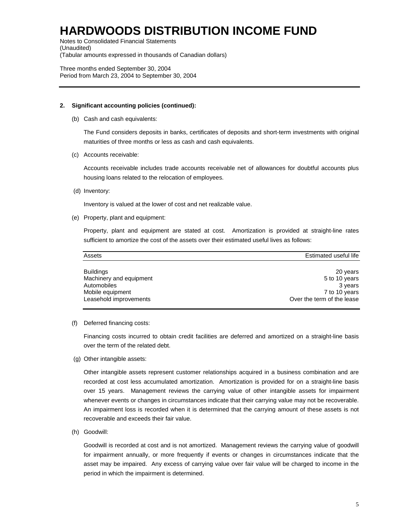Notes to Consolidated Financial Statements (Unaudited) (Tabular amounts expressed in thousands of Canadian dollars)

Three months ended September 30, 2004 Period from March 23, 2004 to September 30, 2004

### **2. Significant accounting policies (continued):**

(b) Cash and cash equivalents:

The Fund considers deposits in banks, certificates of deposits and short-term investments with original maturities of three months or less as cash and cash equivalents.

(c) Accounts receivable:

Accounts receivable includes trade accounts receivable net of allowances for doubtful accounts plus housing loans related to the relocation of employees.

(d) Inventory:

Inventory is valued at the lower of cost and net realizable value.

(e) Property, plant and equipment:

Property, plant and equipment are stated at cost. Amortization is provided at straight-line rates sufficient to amortize the cost of the assets over their estimated useful lives as follows:

| Estimated useful life<br>Assets |                            |  |  |
|---------------------------------|----------------------------|--|--|
| <b>Buildings</b>                | 20 years                   |  |  |
| Machinery and equipment         | 5 to 10 years              |  |  |
| Automobiles                     | 3 years                    |  |  |
| Mobile equipment                | 7 to 10 years              |  |  |
| Leasehold improvements          | Over the term of the lease |  |  |

(f) Deferred financing costs:

Financing costs incurred to obtain credit facilities are deferred and amortized on a straight-line basis over the term of the related debt.

(g) Other intangible assets:

Other intangible assets represent customer relationships acquired in a business combination and are recorded at cost less accumulated amortization. Amortization is provided for on a straight-line basis over 15 years. Management reviews the carrying value of other intangible assets for impairment whenever events or changes in circumstances indicate that their carrying value may not be recoverable. An impairment loss is recorded when it is determined that the carrying amount of these assets is not recoverable and exceeds their fair value.

(h) Goodwill:

Goodwill is recorded at cost and is not amortized. Management reviews the carrying value of goodwill for impairment annually, or more frequently if events or changes in circumstances indicate that the asset may be impaired. Any excess of carrying value over fair value will be charged to income in the period in which the impairment is determined.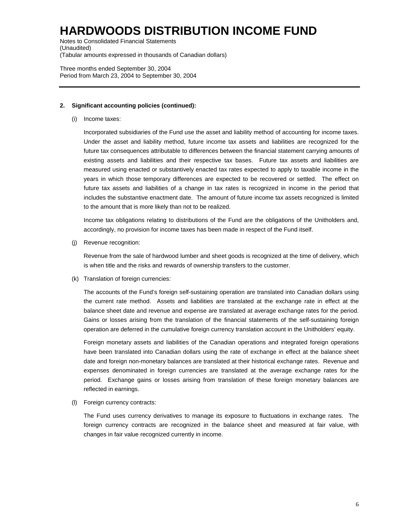Notes to Consolidated Financial Statements (Unaudited) (Tabular amounts expressed in thousands of Canadian dollars)

Three months ended September 30, 2004 Period from March 23, 2004 to September 30, 2004

### **2. Significant accounting policies (continued):**

(i) Income taxes:

Incorporated subsidiaries of the Fund use the asset and liability method of accounting for income taxes. Under the asset and liability method, future income tax assets and liabilities are recognized for the future tax consequences attributable to differences between the financial statement carrying amounts of existing assets and liabilities and their respective tax bases. Future tax assets and liabilities are measured using enacted or substantively enacted tax rates expected to apply to taxable income in the years in which those temporary differences are expected to be recovered or settled. The effect on future tax assets and liabilities of a change in tax rates is recognized in income in the period that includes the substantive enactment date. The amount of future income tax assets recognized is limited to the amount that is more likely than not to be realized.

Income tax obligations relating to distributions of the Fund are the obligations of the Unitholders and, accordingly, no provision for income taxes has been made in respect of the Fund itself.

(j) Revenue recognition:

Revenue from the sale of hardwood lumber and sheet goods is recognized at the time of delivery, which is when title and the risks and rewards of ownership transfers to the customer.

(k) Translation of foreign currencies:

The accounts of the Fund's foreign self-sustaining operation are translated into Canadian dollars using the current rate method. Assets and liabilities are translated at the exchange rate in effect at the balance sheet date and revenue and expense are translated at average exchange rates for the period. Gains or losses arising from the translation of the financial statements of the self-sustaining foreign operation are deferred in the cumulative foreign currency translation account in the Unitholders' equity.

Foreign monetary assets and liabilities of the Canadian operations and integrated foreign operations have been translated into Canadian dollars using the rate of exchange in effect at the balance sheet date and foreign non-monetary balances are translated at their historical exchange rates. Revenue and expenses denominated in foreign currencies are translated at the average exchange rates for the period. Exchange gains or losses arising from translation of these foreign monetary balances are reflected in earnings.

(l) Foreign currency contracts:

The Fund uses currency derivatives to manage its exposure to fluctuations in exchange rates. The foreign currency contracts are recognized in the balance sheet and measured at fair value, with changes in fair value recognized currently in income.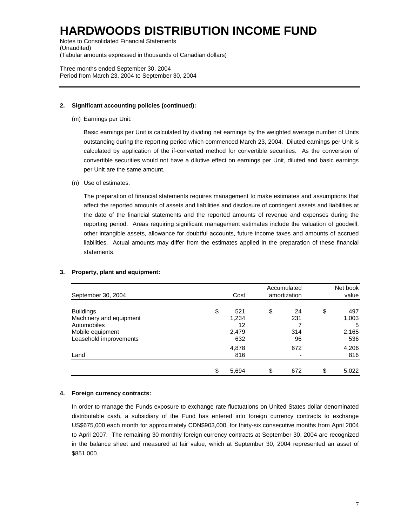Notes to Consolidated Financial Statements (Unaudited) (Tabular amounts expressed in thousands of Canadian dollars)

Three months ended September 30, 2004 Period from March 23, 2004 to September 30, 2004

## **2. Significant accounting policies (continued):**

(m) Earnings per Unit:

Basic earnings per Unit is calculated by dividing net earnings by the weighted average number of Units outstanding during the reporting period which commenced March 23, 2004. Diluted earnings per Unit is calculated by application of the if-converted method for convertible securities. As the conversion of convertible securities would not have a dilutive effect on earnings per Unit, diluted and basic earnings per Unit are the same amount.

(n) Use of estimates:

The preparation of financial statements requires management to make estimates and assumptions that affect the reported amounts of assets and liabilities and disclosure of contingent assets and liabilities at the date of the financial statements and the reported amounts of revenue and expenses during the reporting period. Areas requiring significant management estimates include the valuation of goodwill, other intangible assets, allowance for doubtful accounts, future income taxes and amounts of accrued liabilities. Actual amounts may differ from the estimates applied in the preparation of these financial statements.

|                         |                      | Accumulated |     | Net book |       |
|-------------------------|----------------------|-------------|-----|----------|-------|
| September 30, 2004      | amortization<br>Cost |             |     |          | value |
| <b>Buildings</b>        | \$<br>521            | \$          | 24  | \$       | 497   |
| Machinery and equipment | 1,234                |             | 231 |          | 1,003 |
| Automobiles             | 12                   |             |     |          | 5     |
| Mobile equipment        | 2,479                |             | 314 |          | 2,165 |
| Leasehold improvements  | 632                  |             | 96  |          | 536   |
|                         | 4,878                |             | 672 |          | 4,206 |
| Land                    | 816                  |             |     |          | 816   |
|                         | \$<br>5,694          | \$          | 672 | \$       | 5,022 |

## **3. Property, plant and equipment:**

#### **4. Foreign currency contracts:**

In order to manage the Funds exposure to exchange rate fluctuations on United States dollar denominated distributable cash, a subsidiary of the Fund has entered into foreign currency contracts to exchange US\$675,000 each month for approximately CDN\$903,000, for thirty-six consecutive months from April 2004 to April 2007. The remaining 30 monthly foreign currency contracts at September 30, 2004 are recognized in the balance sheet and measured at fair value, which at September 30, 2004 represented an asset of \$851,000.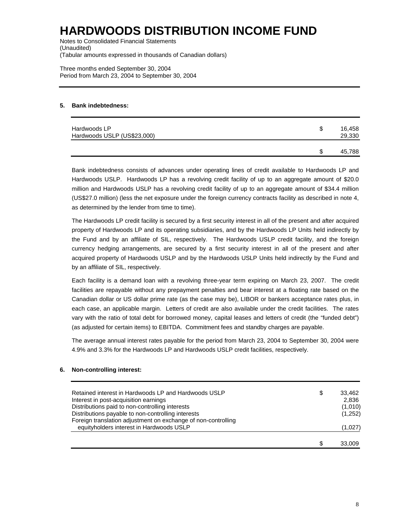Notes to Consolidated Financial Statements (Unaudited) (Tabular amounts expressed in thousands of Canadian dollars)

Three months ended September 30, 2004 Period from March 23, 2004 to September 30, 2004

### **5. Bank indebtedness:**

| Hardwoods LP<br>Hardwoods USLP (US\$23,000) | S | 16,458<br>29,330 |
|---------------------------------------------|---|------------------|
|                                             | S | 45,788           |

Bank indebtedness consists of advances under operating lines of credit available to Hardwoods LP and Hardwoods USLP. Hardwoods LP has a revolving credit facility of up to an aggregate amount of \$20.0 million and Hardwoods USLP has a revolving credit facility of up to an aggregate amount of \$34.4 million (US\$27.0 million) (less the net exposure under the foreign currency contracts facility as described in note 4, as determined by the lender from time to time).

The Hardwoods LP credit facility is secured by a first security interest in all of the present and after acquired property of Hardwoods LP and its operating subsidiaries, and by the Hardwoods LP Units held indirectly by the Fund and by an affiliate of SIL, respectively. The Hardwoods USLP credit facility, and the foreign currency hedging arrangements, are secured by a first security interest in all of the present and after acquired property of Hardwoods USLP and by the Hardwoods USLP Units held indirectly by the Fund and by an affiliate of SIL, respectively.

Each facility is a demand loan with a revolving three-year term expiring on March 23, 2007. The credit facilities are repayable without any prepayment penalties and bear interest at a floating rate based on the Canadian dollar or US dollar prime rate (as the case may be), LIBOR or bankers acceptance rates plus, in each case, an applicable margin. Letters of credit are also available under the credit facilities. The rates vary with the ratio of total debt for borrowed money, capital leases and letters of credit (the "funded debt") (as adjusted for certain items) to EBITDA. Commitment fees and standby charges are payable.

The average annual interest rates payable for the period from March 23, 2004 to September 30, 2004 were 4.9% and 3.3% for the Hardwoods LP and Hardwoods USLP credit facilities, respectively.

## **6. Non-controlling interest:**

| Retained interest in Hardwoods LP and Hardwoods USLP          | \$<br>33.462 |
|---------------------------------------------------------------|--------------|
| Interest in post-acquisition earnings                         | 2.836        |
| Distributions paid to non-controlling interests               | (1,010)      |
| Distributions payable to non-controlling interests            | (1,252)      |
| Foreign translation adjustment on exchange of non-controlling |              |
| equityholders interest in Hardwoods USLP                      | (1,027)      |
|                                                               |              |
|                                                               | 33.009       |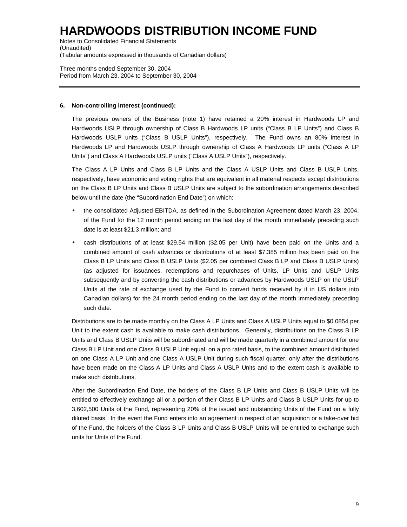Notes to Consolidated Financial Statements (Unaudited) (Tabular amounts expressed in thousands of Canadian dollars)

Three months ended September 30, 2004 Period from March 23, 2004 to September 30, 2004

### **6. Non-controlling interest (continued):**

The previous owners of the Business (note 1) have retained a 20% interest in Hardwoods LP and Hardwoods USLP through ownership of Class B Hardwoods LP units ("Class B LP Units") and Class B Hardwoods USLP units ("Class B USLP Units"), respectively. The Fund owns an 80% interest in Hardwoods LP and Hardwoods USLP through ownership of Class A Hardwoods LP units ("Class A LP Units") and Class A Hardwoods USLP units ("Class A USLP Units"), respectively.

The Class A LP Units and Class B LP Units and the Class A USLP Units and Class B USLP Units, respectively, have economic and voting rights that are equivalent in all material respects except distributions on the Class B LP Units and Class B USLP Units are subject to the subordination arrangements described below until the date (the "Subordination End Date") on which:

- the consolidated Adjusted EBITDA, as defined in the Subordination Agreement dated March 23, 2004, of the Fund for the 12 month period ending on the last day of the month immediately preceding such date is at least \$21.3 million; and
- cash distributions of at least \$29.54 million (\$2.05 per Unit) have been paid on the Units and a combined amount of cash advances or distributions of at least \$7.385 million has been paid on the Class B LP Units and Class B USLP Units (\$2.05 per combined Class B LP and Class B USLP Units) (as adjusted for issuances, redemptions and repurchases of Units, LP Units and USLP Units subsequently and by converting the cash distributions or advances by Hardwoods USLP on the USLP Units at the rate of exchange used by the Fund to convert funds received by it in US dollars into Canadian dollars) for the 24 month period ending on the last day of the month immediately preceding such date.

Distributions are to be made monthly on the Class A LP Units and Class A USLP Units equal to \$0.0854 per Unit to the extent cash is available to make cash distributions. Generally, distributions on the Class B LP Units and Class B USLP Units will be subordinated and will be made quarterly in a combined amount for one Class B LP Unit and one Class B USLP Unit equal, on a pro rated basis, to the combined amount distributed on one Class A LP Unit and one Class A USLP Unit during such fiscal quarter, only after the distributions have been made on the Class A LP Units and Class A USLP Units and to the extent cash is available to make such distributions.

After the Subordination End Date, the holders of the Class B LP Units and Class B USLP Units will be entitled to effectively exchange all or a portion of their Class B LP Units and Class B USLP Units for up to 3,602,500 Units of the Fund, representing 20% of the issued and outstanding Units of the Fund on a fully diluted basis. In the event the Fund enters into an agreement in respect of an acquisition or a take-over bid of the Fund, the holders of the Class B LP Units and Class B USLP Units will be entitled to exchange such units for Units of the Fund.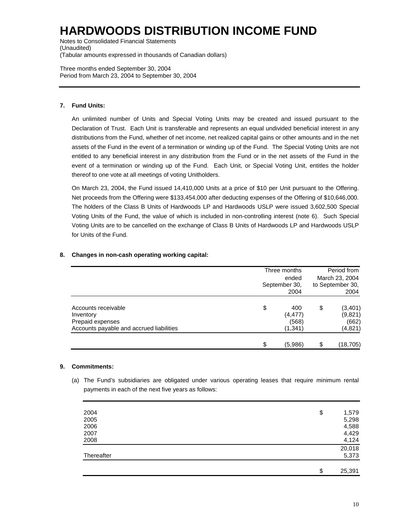Notes to Consolidated Financial Statements (Unaudited) (Tabular amounts expressed in thousands of Canadian dollars)

Three months ended September 30, 2004 Period from March 23, 2004 to September 30, 2004

## **7. Fund Units:**

An unlimited number of Units and Special Voting Units may be created and issued pursuant to the Declaration of Trust. Each Unit is transferable and represents an equal undivided beneficial interest in any distributions from the Fund, whether of net income, net realized capital gains or other amounts and in the net assets of the Fund in the event of a termination or winding up of the Fund. The Special Voting Units are not entitled to any beneficial interest in any distribution from the Fund or in the net assets of the Fund in the event of a termination or winding up of the Fund. Each Unit, or Special Voting Unit, entitles the holder thereof to one vote at all meetings of voting Unitholders.

On March 23, 2004, the Fund issued 14,410,000 Units at a price of \$10 per Unit pursuant to the Offering. Net proceeds from the Offering were \$133,454,000 after deducting expenses of the Offering of \$10,646,000. The holders of the Class B Units of Hardwoods LP and Hardwoods USLP were issued 3,602,500 Special Voting Units of the Fund, the value of which is included in non-controlling interest (note 6). Such Special Voting Units are to be cancelled on the exchange of Class B Units of Hardwoods LP and Hardwoods USLP for Units of the Fund.

|                                                                                                  | Three months<br>ended<br>September 30,<br>2004 |                                      | Period from<br>March 23, 2004<br>to September 30,<br>2004 |                                         |
|--------------------------------------------------------------------------------------------------|------------------------------------------------|--------------------------------------|-----------------------------------------------------------|-----------------------------------------|
| Accounts receivable<br>Inventory<br>Prepaid expenses<br>Accounts payable and accrued liabilities | \$                                             | 400<br>(4, 477)<br>(568)<br>(1, 341) | \$                                                        | (3,401)<br>(9,821)<br>(662)<br>(4, 821) |
|                                                                                                  | \$                                             | (5,986)                              | \$                                                        | (18, 705)                               |

## **8. Changes in non-cash operating working capital:**

## **9. Commitments:**

(a) The Fund's subsidiaries are obligated under various operating leases that require minimum rental payments in each of the next five years as follows:

| 2004       | \$<br>1,579  |
|------------|--------------|
| 2005       | 5,298        |
| 2006       | 4,588        |
| 2007       | 4,429        |
| 2008       | 4,124        |
|            | 20,018       |
| Thereafter | 5,373        |
|            |              |
|            | \$<br>25,391 |
|            |              |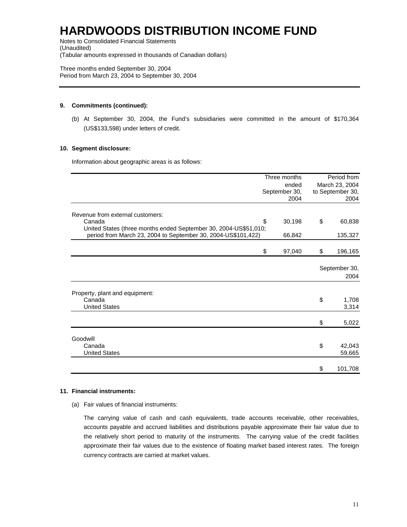Notes to Consolidated Financial Statements (Unaudited) (Tabular amounts expressed in thousands of Canadian dollars)

Three months ended September 30, 2004 Period from March 23, 2004 to September 30, 2004

### **9. Commitments (continued):**

(b) At September 30, 2004, the Fund's subsidiaries were committed in the amount of \$170,364 (US\$133,598) under letters of credit.

## **10. Segment disclosure:**

Information about geographic areas is as follows:

|                                                                                                                                   | Three months<br>ended<br>September 30, |        | Period from<br>March 23, 2004<br>to September 30, |                  |
|-----------------------------------------------------------------------------------------------------------------------------------|----------------------------------------|--------|---------------------------------------------------|------------------|
|                                                                                                                                   |                                        |        |                                                   |                  |
|                                                                                                                                   |                                        | 2004   | 2004                                              |                  |
| Revenue from external customers:                                                                                                  |                                        |        |                                                   |                  |
| Canada                                                                                                                            | \$                                     | 30,198 | \$                                                | 60,838           |
| United States (three months ended September 30, 2004-US\$51,010;<br>period from March 23, 2004 to September 30, 2004-US\$101,422) |                                        | 66,842 |                                                   | 135,327          |
|                                                                                                                                   | \$                                     | 97,040 | \$                                                | 196,165          |
|                                                                                                                                   |                                        |        |                                                   | September 30,    |
|                                                                                                                                   |                                        |        |                                                   | 2004             |
| Property, plant and equipment:                                                                                                    |                                        |        |                                                   |                  |
| Canada<br><b>United States</b>                                                                                                    |                                        |        | \$                                                | 1,708<br>3,314   |
|                                                                                                                                   |                                        |        | \$                                                | 5,022            |
| Goodwill                                                                                                                          |                                        |        |                                                   |                  |
| Canada<br><b>United States</b>                                                                                                    |                                        |        | \$                                                | 42,043<br>59,665 |
|                                                                                                                                   |                                        |        | \$                                                | 101,708          |

#### **11. Financial instruments:**

(a) Fair values of financial instruments:

The carrying value of cash and cash equivalents, trade accounts receivable, other receivables, accounts payable and accrued liabilities and distributions payable approximate their fair value due to the relatively short period to maturity of the instruments. The carrying value of the credit facilities approximate their fair values due to the existence of floating market based interest rates. The foreign currency contracts are carried at market values.